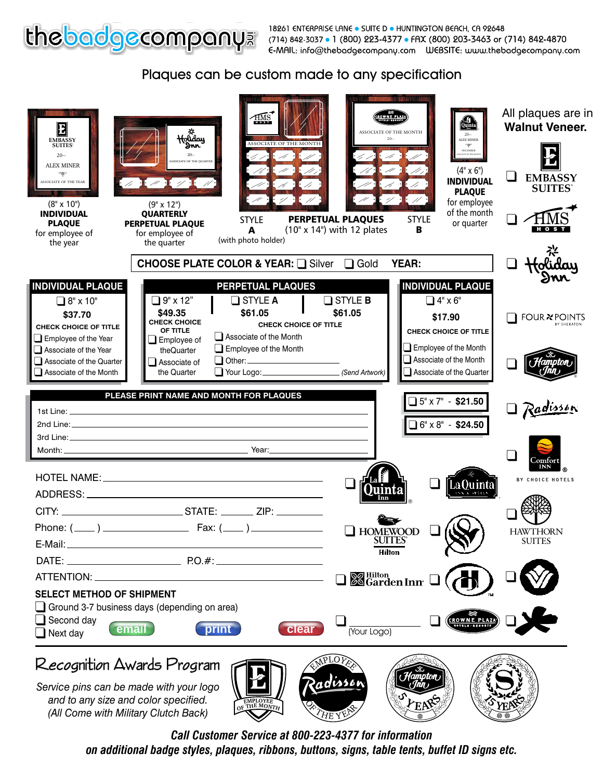

Enception and Company of the Company.com pressure Development of the best of the Sulte Development of the Sulte Development of the Sulte Development of the Sulte Development of the Sulte Development of the Sulte Developmen



*Call Customer Service at 800-223-4377 for information on additional badge styles, plaques, ribbons, buttons, signs, table tents, buffet ID signs etc.*